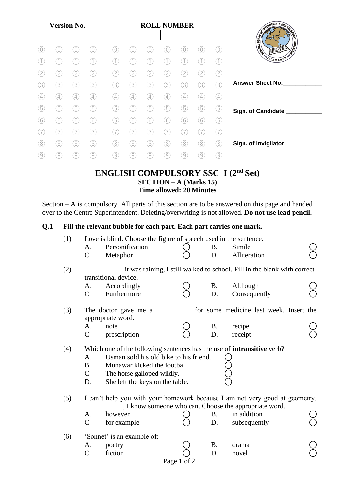| <b>Version No.</b> |                |   |                |   | <b>ROLL NUMBER</b> |               |             |                                                                                                                       |    |                   |                                                                                                                                                                                                                                      |
|--------------------|----------------|---|----------------|---|--------------------|---------------|-------------|-----------------------------------------------------------------------------------------------------------------------|----|-------------------|--------------------------------------------------------------------------------------------------------------------------------------------------------------------------------------------------------------------------------------|
|                    |                |   |                |   |                    |               |             |                                                                                                                       |    |                   | <b>SINGLIFE AND SECTION AND SECTION AND SECTION AND SECTION AND SECTION AND SECTION AND SECTION AND SECTION AND SECTION AND SECTION AND SECTION AND SECTION AND SECTION AND SECTION AND SECTION AND SECTION AND SECTION AND SECT</b> |
|                    |                |   |                |   |                    |               |             |                                                                                                                       |    | $\theta$          | <b>EDUCATIVE</b><br><b>TENSITE</b>                                                                                                                                                                                                   |
|                    |                |   |                |   |                    |               |             |                                                                                                                       |    |                   | SLAMABAD"                                                                                                                                                                                                                            |
|                    | 2,             | 2 | 2.             |   | 2                  | 2             | 2           | 2                                                                                                                     | 2. | 2                 |                                                                                                                                                                                                                                      |
| 3                  | 3              | 3 | 3,             | 3 | 3.                 | 3             | 3           | 3                                                                                                                     | 3  | 3                 | <b>Answer Sheet No.</b>                                                                                                                                                                                                              |
|                    | $\overline{4}$ |   | 4              |   | $\overline{4}$     | $\mathcal{L}$ | $4^{\circ}$ | $\mathcal{L}_{\mathcal{A}}% \equiv\mathcal{L}_{\mathcal{A}}\left( \mathcal{A},\mathcal{A}\right) , \label{eq:delta}%$ | 4  | $\left( 4\right)$ |                                                                                                                                                                                                                                      |
| 5                  | 5              | 5 | $\overline{5}$ |   | 5                  | 5             | 5           | 5                                                                                                                     | 5  | (5)               | Sign. of Candidate ___                                                                                                                                                                                                               |
| 6                  | 6              | 6 | 6              | 6 | 6                  | (6)           | 6           | 6                                                                                                                     | 6  | 6                 |                                                                                                                                                                                                                                      |
|                    |                |   |                |   |                    |               |             |                                                                                                                       |    | 7)                |                                                                                                                                                                                                                                      |
| 8                  | 8.             | 8 | 8              | 8 | 8                  | 8             | 8)          | 8                                                                                                                     | 8  | (8)               | Sign. of Invigilator                                                                                                                                                                                                                 |
|                    | $\overline{9}$ | 9 | 9              | 9 | 9                  | 9             | 9           | 9                                                                                                                     | 9  | $\left[9\right]$  |                                                                                                                                                                                                                                      |

### **ENGLISH COMPULSORY SSC–I (2nd Set) SECTION – A (Marks 15) Time allowed: 20 Minutes**

Section – A is compulsory. All parts of this section are to be answered on this page and handed over to the Centre Superintendent. Deleting/overwriting is not allowed. **Do not use lead pencil.**

### **Q.1 Fill the relevant bubble for each part. Each part carries one mark.**

| (1) |             | Love is blind. Choose the figure of speech used in the sentence.              |             |           |                                                                          |  |
|-----|-------------|-------------------------------------------------------------------------------|-------------|-----------|--------------------------------------------------------------------------|--|
|     | А.          | Personification                                                               |             | <b>B.</b> | Simile                                                                   |  |
|     | C.          | Metaphor                                                                      |             | D.        | Alliteration                                                             |  |
| (2) |             | transitional device.                                                          |             |           | it was raining, I still walked to school. Fill in the blank with correct |  |
|     | А.          | Accordingly                                                                   |             | <b>B.</b> | Although                                                                 |  |
|     | $C_{\cdot}$ | Furthermore                                                                   |             | D.        | Consequently                                                             |  |
| (3) |             | The doctor gave me a<br>appropriate word.                                     |             |           | for some medicine last week. Insert the                                  |  |
|     | A.          | note                                                                          |             | <b>B.</b> | recipe                                                                   |  |
|     | C.          | prescription                                                                  |             | D.        | receipt                                                                  |  |
| (4) |             | Which one of the following sentences has the use of <b>intransitive</b> verb? |             |           |                                                                          |  |
|     | A.          | Usman sold his old bike to his friend.                                        |             |           |                                                                          |  |
|     | <b>B</b> .  | Munawar kicked the football.                                                  |             |           |                                                                          |  |
|     | $C_{\cdot}$ | The horse galloped wildly.                                                    |             |           |                                                                          |  |
|     | D.          | She left the keys on the table.                                               |             |           |                                                                          |  |
| (5) |             | I can't help you with your homework because I am not very good at geometry.   |             |           | _, I know someone who can. Choose the appropriate word.                  |  |
|     | A.          | however                                                                       |             | <b>B.</b> | in addition                                                              |  |
|     | C.          | for example                                                                   |             | D.        | subsequently                                                             |  |
| (6) |             | 'Sonnet' is an example of:                                                    |             |           |                                                                          |  |
|     | A.          | poetry                                                                        |             | <b>B.</b> | drama                                                                    |  |
|     | C.          | fiction                                                                       |             | D.        | novel                                                                    |  |
|     |             |                                                                               | Page 1 of 2 |           |                                                                          |  |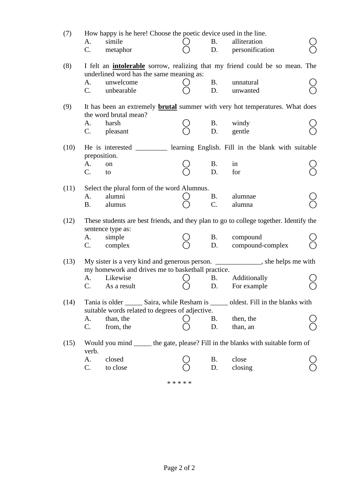| (7)  | А.<br>C.                          | How happy is he here! Choose the poetic device used in the line.<br>simile<br>metaphor | <b>B.</b>        | alliteration<br>D. personification                                                     |  |
|------|-----------------------------------|----------------------------------------------------------------------------------------|------------------|----------------------------------------------------------------------------------------|--|
| (8)  |                                   | underlined word has the same meaning as:                                               |                  | I felt an <b>intolerable</b> sorrow, realizing that my friend could be so mean. The    |  |
|      | A.<br>$C_{\cdot}$                 | unwelcome<br>unbearable                                                                | <b>B.</b><br>D.  | unnatural<br>unwanted                                                                  |  |
| (9)  |                                   | the word brutal mean?                                                                  |                  | It has been an extremely <b>brutal</b> summer with very hot temperatures. What does    |  |
|      | A.<br>C.                          | harsh<br>pleasant                                                                      | <b>B.</b><br>D.  | windy<br>gentle                                                                        |  |
| (10) |                                   |                                                                                        |                  | He is interested ____________ learning English. Fill in the blank with suitable        |  |
|      | preposition.<br>A.<br>$C_{\cdot}$ | on<br>to                                                                               | <b>B.</b><br>D.  | in<br>for                                                                              |  |
| (11) | A.                                | Select the plural form of the word Alumnus.<br>alumni                                  | <b>B.</b>        | alumnae                                                                                |  |
|      | Β.                                | alumus                                                                                 | $\overline{C}$ . | alumna                                                                                 |  |
| (12) |                                   | sentence type as:                                                                      |                  | These students are best friends, and they plan to go to college together. Identify the |  |
|      | А.<br>$C_{\cdot}$                 | simple<br>complex                                                                      | D.               | B. compound<br>compound-complex                                                        |  |
| (13) |                                   |                                                                                        |                  | My sister is a very kind and generous person. ______________, she helps me with        |  |
|      | C.                                | my homework and drives me to basketball practice.<br>A. Likewise<br>As a result        | <b>B.</b><br>D.  | Additionally<br>For example                                                            |  |
| (14) |                                   | suitable words related to degrees of adjective.                                        |                  | Tania is older ________ Saira, while Resham is _______ oldest. Fill in the blanks with |  |
|      | А.<br>C.                          | than, the<br>from, the                                                                 | <b>B.</b><br>D.  | then, the<br>than, an                                                                  |  |
| (15) |                                   |                                                                                        |                  | Would you mind ______ the gate, please? Fill in the blanks with suitable form of       |  |
|      | verb.<br>A.<br>C.                 | closed<br>to close                                                                     | B.<br>D.         | close<br>closing                                                                       |  |

\* \* \* \* \*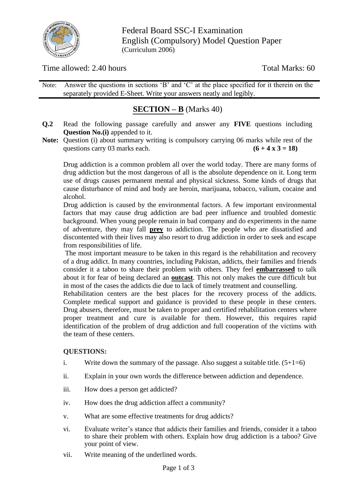

Federal Board SSC-I Examination English (Compulsory) Model Question Paper (Curriculum 2006)

Time allowed: 2.40 hours Total Marks: 60

Note: Answer the questions in sections 'B' and 'C' at the place specified for it therein on the separately provided E-Sheet. Write your answers neatly and legibly.

## **SECTION – B** (Marks 40)

- **Q.2** Read the following passage carefully and answer any **FIVE** questions including **Question No.(i)** appended to it.
- **Note:** Question (i) about summary writing is compulsory carrying 06 marks while rest of the questions carry 03 marks each.  $(6 + 4 \times 3 = 18)$

Drug addiction is a common problem all over the world today. There are many forms of drug addiction but the most dangerous of all is the absolute dependence on it. Long term use of drugs causes permanent mental and physical sickness. Some kinds of drugs that cause disturbance of mind and body are heroin, marijuana, tobacco, valium, cocaine and alcohol.

Drug addiction is caused by the environmental factors. A few important environmental factors that may cause drug addiction are bad peer influence and troubled domestic background. When young people remain in bad company and do experiments in the name of adventure, they may fall **prey** to addiction. The people who are dissatisfied and discontented with their lives may also resort to drug addiction in order to seek and escape from responsibilities of life.

The most important measure to be taken in this regard is the rehabilitation and recovery of a drug addict. In many countries, including Pakistan, addicts, their families and friends consider it a taboo to share their problem with others. They feel **embarrassed** to talk about it for fear of being declared an **outcast**. This not only makes the cure difficult but in most of the cases the addicts die due to lack of timely treatment and counselling.

Rehabilitation centers are the best places for the recovery process of the addicts. Complete medical support and guidance is provided to these people in these centers. Drug abusers, therefore, must be taken to proper and certified rehabilitation centers where proper treatment and cure is available for them. However, this requires rapid identification of the problem of drug addiction and full cooperation of the victims with the team of these centers.

#### **QUESTIONS:**

- i. Write down the summary of the passage. Also suggest a suitable title.  $(5+1=6)$
- ii. Explain in your own words the difference between addiction and dependence.
- iii. How does a person get addicted?
- iv. How does the drug addiction affect a community?
- v. What are some effective treatments for drug addicts?
- vi. Evaluate writer's stance that addicts their families and friends, consider it a taboo to share their problem with others. Explain how drug addiction is a taboo? Give your point of view.
- vii. Write meaning of the underlined words.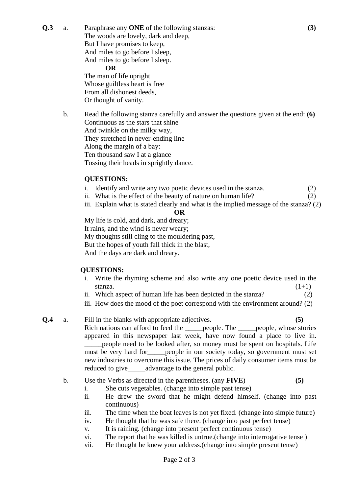**Q.3** a. Paraphrase any **ONE** of the following stanzas: **(3)** The woods are lovely, dark and deep, But I have promises to keep, And miles to go before I sleep, And miles to go before I sleep. **OR**

The man of life upright Whose guiltless heart is free From all dishonest deeds, Or thought of vanity.

b. Read the following stanza carefully and answer the questions given at the end: **(6)** Continuous as the stars that shine And twinkle on the milky way, They stretched in never-ending line Along the margin of a bay: Ten thousand saw I at a glance Tossing their heads in sprightly dance.

#### **QUESTIONS:**

- i. Identify and write any two poetic devices used in the stanza. (2)
- ii. What is the effect of the beauty of nature on human life? (2)
- iii. Explain what is stated clearly and what is the implied message of the stanza? (2)

#### **OR**

My life is cold, and dark, and dreary; It rains, and the wind is never weary; My thoughts still cling to the mouldering past, But the hopes of youth fall thick in the blast, And the days are dark and dreary.

### **QUESTIONS:**

- i. Write the rhyming scheme and also write any one poetic device used in the stanza.  $(1+1)$
- ii. Which aspect of human life has been depicted in the stanza? (2)
- iii. How does the mood of the poet correspond with the environment around? (2)
- **Q.4** a. Fill in the blanks with appropriate adjectives. **(5)** Rich nations can afford to feed the \_\_\_\_\_people. The \_\_\_\_\_people, whose stories appeared in this newspaper last week, have now found a place to live in. \_\_\_\_\_people need to be looked after, so money must be spent on hospitals. Life must be very hard for\_\_\_\_\_people in our society today, so government must set new industries to overcome this issue. The prices of daily consumer items must be reduced to give advantage to the general public.
	- b. Use the Verbs as directed in the parentheses. (any **FIVE**) **(5)**

- i. She cuts vegetables. (change into simple past tense)
- ii. He drew the sword that he might defend himself. (change into past continuous)
- iii. The time when the boat leaves is not yet fixed. (change into simple future)
- iv. He thought that he was safe there. (change into past perfect tense)
- v. It is raining. (change into present perfect continuous tense)
- vi. The report that he was killed is untrue.(change into interrogative tense )
- vii. He thought he knew your address.(change into simple present tense)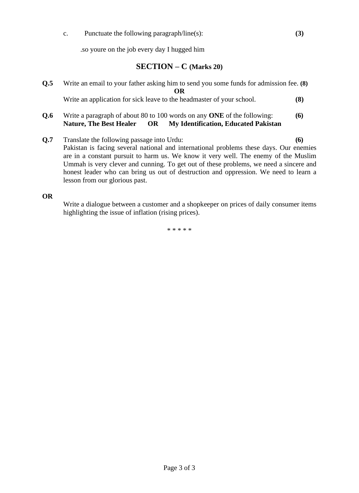c. Punctuate the following paragraph/line(s): **(3)**

.so youre on the job every day I hugged him

### **SECTION – C (Marks 20)**

- **Q.5** Write an email to your father asking him to send you some funds for admission fee. **(8) OR** Write an application for sick leave to the headmaster of your school. **(8)**
- **Q.6** Write a paragraph of about 80 to 100 words on any **ONE** of the following: (6)<br>**Nature, The Best Healer OR My Identification, Educated Pakistan OR My Identification, Educated Pakistan**
- **Q.7** Translate the following passage into Urdu: **(6)**  Pakistan is facing several national and international problems these days. Our enemies are in a constant pursuit to harm us. We know it very well. The enemy of the Muslim Ummah is very clever and cunning. To get out of these problems, we need a sincere and honest leader who can bring us out of destruction and oppression. We need to learn a lesson from our glorious past.

**OR**

Write a dialogue between a customer and a shopkeeper on prices of daily consumer items highlighting the issue of inflation (rising prices).

\* \* \* \* \*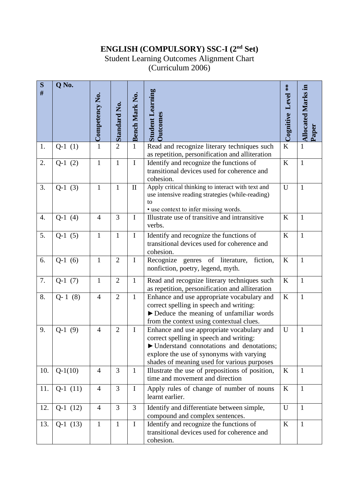## **ENGLISH (COMPULSORY) SSC-I (2nd Set)**

## Student Learning Outcomes Alignment Chart

(Curriculum 2006)

| S<br>#           | Q No.     |                |                     |                |                                                                                                                                                                                                                                |                    |                                    |
|------------------|-----------|----------------|---------------------|----------------|--------------------------------------------------------------------------------------------------------------------------------------------------------------------------------------------------------------------------------|--------------------|------------------------------------|
|                  |           | Competency No. | <b>Standard No.</b> | Bench Mark No. | <b>Student Learning</b><br><b>Dutcomes</b>                                                                                                                                                                                     | Cognitive Level ** | <b>Allocated Marks in</b><br>Paper |
| 1.               | $Q-1(1)$  | $\overline{1}$ | $\overline{2}$      | $\mathbf{1}$   | Read and recognize literary techniques such                                                                                                                                                                                    | K                  | $\mathbf{1}$                       |
|                  |           |                |                     |                | as repetition, personification and alliteration                                                                                                                                                                                |                    |                                    |
| 2.               | $Q-1(2)$  | $\mathbf{1}$   | $\mathbf{1}$        | $\mathbf I$    | Identify and recognize the functions of<br>transitional devices used for coherence and<br>cohesion.                                                                                                                            | K                  | $\mathbf{1}$                       |
| 3.               | $Q-1(3)$  | $\mathbf{1}$   | $\mathbf{1}$        | $\rm II$       | Apply critical thinking to interact with text and<br>use intensive reading strategies (while-reading)<br>to<br>• use context to infer missing words.                                                                           | U                  | $\mathbf{1}$                       |
| $\overline{4}$ . | $Q-1(4)$  | $\overline{4}$ | 3                   | $\mathbf I$    | Illustrate use of transitive and intransitive<br>verbs.                                                                                                                                                                        | K                  | $\mathbf{1}$                       |
| 5.               | $Q-1(5)$  | $\mathbf{1}$   | $\mathbf{1}$        | $\mathbf I$    | Identify and recognize the functions of<br>transitional devices used for coherence and<br>cohesion.                                                                                                                            | K                  | $\mathbf{1}$                       |
| 6.               | $Q-1(6)$  | $\mathbf{1}$   | $\overline{2}$      | $\mathbf I$    | Recognize genres of literature,<br>fiction,<br>nonfiction, poetry, legend, myth.                                                                                                                                               | $\bf K$            | $\mathbf{1}$                       |
| 7.               | $Q-1(7)$  | $\mathbf{1}$   | $\overline{2}$      | $\mathbf{1}$   | Read and recognize literary techniques such<br>as repetition, personification and alliteration                                                                                                                                 | K                  | $\mathbf{1}$                       |
| 8.               | $Q-1(8)$  | $\overline{4}$ | $\overline{2}$      | $\mathbf{1}$   | Enhance and use appropriate vocabulary and<br>correct spelling in speech and writing:<br>$\blacktriangleright$ Deduce the meaning of unfamiliar words<br>from the context using contextual clues.                              | K                  | $\mathbf{1}$                       |
| 9.               | $Q-1(9)$  | $\overline{4}$ | $\overline{2}$      | $\mathbf I$    | Enhance and use appropriate vocabulary and<br>correct spelling in speech and writing:<br>▶ Understand connotations and denotations;<br>explore the use of synonyms with varying<br>shades of meaning used for various purposes | U                  | $\mathbf{1}$                       |
| 10.              | $Q-1(10)$ | $\overline{4}$ | 3                   | $\mathbf{1}$   | Illustrate the use of prepositions of position,<br>time and movement and direction                                                                                                                                             | K                  | $\mathbf{1}$                       |
| 11.              | $Q-1(11)$ | $\overline{4}$ | 3                   | $\mathbf I$    | Apply rules of change of number of nouns<br>learnt earlier.                                                                                                                                                                    | $\boldsymbol{K}$   | $\mathbf{1}$                       |
| 12.              | $Q-1(12)$ | $\overline{4}$ | 3                   | 3              | Identify and differentiate between simple,<br>compound and complex sentences.                                                                                                                                                  | U                  | $\mathbf{1}$                       |
| 13.              | $Q-1(13)$ | $\mathbf{1}$   | $\mathbf{1}$        | $\bf I$        | Identify and recognize the functions of<br>transitional devices used for coherence and<br>cohesion.                                                                                                                            | K                  | $\mathbf{1}$                       |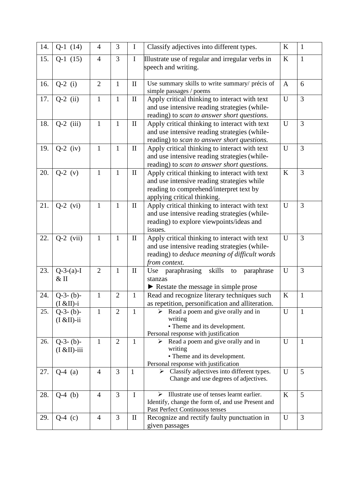| 14. | $Q-1$ (14)                     | 4              | 3              | $\mathbf I$  | Classify adjectives into different types.                                                                                                                              | K | $\mathbf{1}$   |
|-----|--------------------------------|----------------|----------------|--------------|------------------------------------------------------------------------------------------------------------------------------------------------------------------------|---|----------------|
| 15. | $Q-1(15)$                      | $\overline{4}$ | $\overline{3}$ | $\mathbf I$  | Illustrate use of regular and irregular verbs in<br>speech and writing.                                                                                                | K | $\mathbf{1}$   |
| 16. | $Q-2$ (i)                      | $\overline{2}$ | 1              | $\mathbf{I}$ | Use summary skills to write summary/ précis of<br>simple passages / poems                                                                                              | A | 6              |
| 17. | $Q-2$ (ii)                     | $\mathbf{1}$   | $\mathbf{1}$   | $\mathbf{I}$ | Apply critical thinking to interact with text<br>and use intensive reading strategies (while-<br>reading) to scan to answer short questions.                           | U | 3              |
| 18. | $Q-2$ (iii)                    | $\mathbf{1}$   | 1              | $\mathbf{I}$ | Apply critical thinking to interact with text<br>and use intensive reading strategies (while-<br>reading) to scan to answer short questions.                           | U | 3              |
| 19. | $Q-2$ (iv)                     | $\mathbf{1}$   | 1              | $\mathbf{I}$ | Apply critical thinking to interact with text<br>and use intensive reading strategies (while-<br>reading) to scan to answer short questions.                           | U | 3              |
| 20. | $Q-2$ (v)                      | $\mathbf{1}$   | $\mathbf{1}$   | $\mathbf{I}$ | Apply critical thinking to interact with text<br>and use intensive reading strategies while<br>reading to comprehend/interpret text by<br>applying critical thinking.  | K | 3              |
| 21. | $Q-2$ (vi)                     | $\mathbf{1}$   | $\mathbf{1}$   | $\mathbf{I}$ | Apply critical thinking to interact with text<br>and use intensive reading strategies (while-<br>reading) to explore viewpoints/ideas and<br>issues.                   | U | $\overline{3}$ |
| 22. | $Q-2$ (vii)                    | $\mathbf{1}$   | $\mathbf{1}$   | $\rm II$     | Apply critical thinking to interact with text<br>and use intensive reading strategies (while-<br>reading) to <i>deduce meaning of difficult words</i><br>from context. | U | $\overline{3}$ |
| 23. | $Q-3-(a)-I$<br>$&$ II          | $\overline{2}$ | 1              | $\mathbf{I}$ | skills<br>paraphrasing<br>Use<br>paraphrase<br>to<br>stanzas<br>Restate the message in simple prose                                                                    | U | 3              |
| 24. | $Q-3-(b)-$<br>$(I & H) - i$    | $\mathbf{1}$   | $\overline{2}$ | $\mathbf{1}$ | Read and recognize literary techniques such<br>as repetition, personification and alliteration.                                                                        | K | $\mathbf{1}$   |
| 25. | $Q-3-(b)-$<br>$(I & H)$ -ii    | $\mathbf{1}$   | $\overline{2}$ | $\mathbf{1}$ | Read a poem and give orally and in<br>writing<br>• Theme and its development.<br>Personal response with justification                                                  | U | $\mathbf{1}$   |
| 26. | $Q-3-(b)-$<br>$(I & EII)$ -iii | $\mathbf{1}$   | $\overline{2}$ | $\mathbf{1}$ | Read a poem and give orally and in<br>➤<br>writing<br>• Theme and its development.<br>Personal response with justification                                             | U | $\mathbf{1}$   |
| 27. | $Q-4$ (a)                      | $\overline{4}$ | 3              | $\mathbf{1}$ | Classify adjectives into different types.<br>Change and use degrees of adjectives.                                                                                     | U | 5              |
| 28. | $Q-4$ (b)                      | $\overline{4}$ | $\overline{3}$ | $\mathbf I$  | Illustrate use of tenses learnt earlier.<br>↘<br>Identify, change the form of, and use Present and<br>Past Perfect Continuous tenses                                   | K | 5              |
| 29. | $Q-4$ (c)                      | $\overline{4}$ | 3              | $\mathbf{I}$ | Recognize and rectify faulty punctuation in<br>given passages                                                                                                          | U | 3              |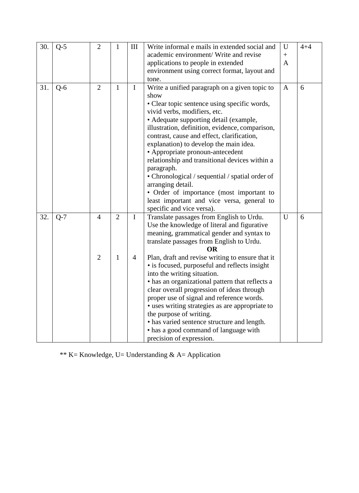| 30. | $Q-5$ | $\overline{2}$                   | $\mathbf{1}$                   | Ш                             | Write informal e mails in extended social and<br>academic environment/ Write and revise<br>applications to people in extended<br>environment using correct format, layout and                                                                                                                                                                                                                                                                                                                                                                                                                                                                                              | U<br>$+$<br>$\mathbf{A}$ | $4 + 4$ |
|-----|-------|----------------------------------|--------------------------------|-------------------------------|----------------------------------------------------------------------------------------------------------------------------------------------------------------------------------------------------------------------------------------------------------------------------------------------------------------------------------------------------------------------------------------------------------------------------------------------------------------------------------------------------------------------------------------------------------------------------------------------------------------------------------------------------------------------------|--------------------------|---------|
|     |       |                                  |                                |                               | tone.                                                                                                                                                                                                                                                                                                                                                                                                                                                                                                                                                                                                                                                                      |                          |         |
| 31. | $Q-6$ | $\overline{2}$                   | $\mathbf{1}$                   | $\mathbf I$                   | Write a unified paragraph on a given topic to<br>show<br>• Clear topic sentence using specific words,<br>vivid verbs, modifiers, etc.<br>• Adequate supporting detail (example,<br>illustration, definition, evidence, comparison,<br>contrast, cause and effect, clarification,<br>explanation) to develop the main idea.<br>• Appropriate pronoun-antecedent<br>relationship and transitional devices within a<br>paragraph.<br>• Chronological / sequential / spatial order of<br>arranging detail.<br>• Order of importance (most important to<br>least important and vice versa, general to<br>specific and vice versa).                                              | $\mathbf{A}$             | 6       |
| 32. | $Q-7$ | $\overline{4}$<br>$\overline{2}$ | $\overline{2}$<br>$\mathbf{1}$ | $\mathbf I$<br>$\overline{4}$ | Translate passages from English to Urdu.<br>Use the knowledge of literal and figurative<br>meaning, grammatical gender and syntax to<br>translate passages from English to Urdu.<br>OR<br>Plan, draft and revise writing to ensure that it<br>• is focused, purposeful and reflects insight<br>into the writing situation.<br>• has an organizational pattern that reflects a<br>clear overall progression of ideas through<br>proper use of signal and reference words.<br>• uses writing strategies as are appropriate to<br>the purpose of writing.<br>• has varied sentence structure and length.<br>• has a good command of language with<br>precision of expression. | $\mathbf{U}$             | 6       |

\*\* K= Knowledge, U= Understanding & A= Application